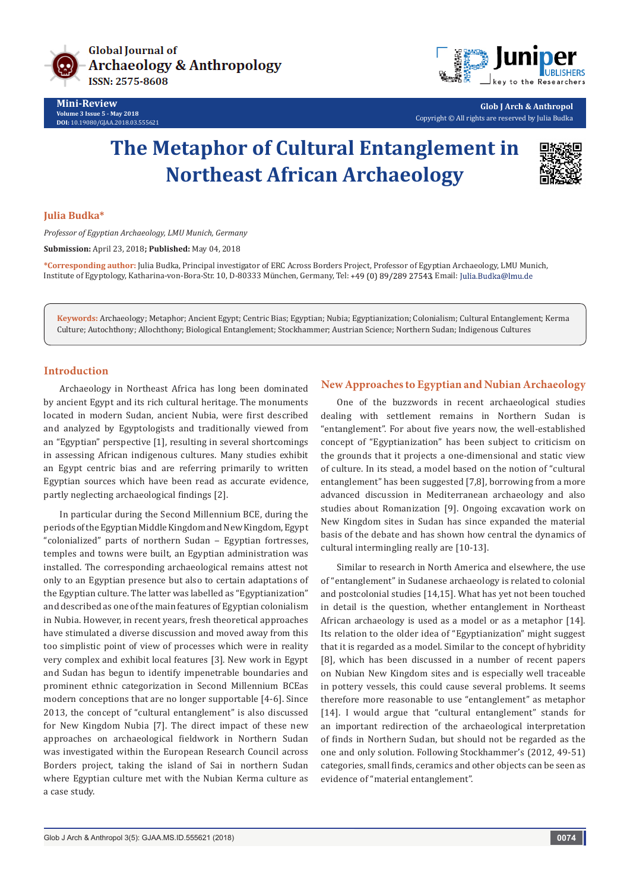



**Glob J Arch & Anthropol** Copyright © All rights are reserved by Julia Budka

# **The Metaphor of Cultural Entanglement in Northeast African Archaeology**



## **Julia Budka\***

*Professor of Egyptian Archaeology, LMU Munich, Germany*

**Submission:** April 23, 2018**; Published:** May 04, 2018

**\*Corresponding author:** Julia Budka, Principal investigator of ERC Across Borders Project, Professor of Egyptian Archaeology, LMU Munich, Institute of Egyptology, Katharina-von-Bora-Str. 10, D-80333 München, Germany, Tel: +49 (0) 89/289 27543, Email: Julia.Budka@lmu.de

**Keywords:** Archaeology; Metaphor; Ancient Egypt; Centric Bias; Egyptian; Nubia; Egyptianization; Colonialism; Cultural Entanglement; Kerma Culture; Autochthony; Allochthony; Biological Entanglement; Stockhammer; Austrian Science; Northern Sudan; Indigenous Cultures

## **Introduction**

Archaeology in Northeast Africa has long been dominated by ancient Egypt and its rich cultural heritage. The monuments located in modern Sudan, ancient Nubia, were first described and analyzed by Egyptologists and traditionally viewed from an "Egyptian" perspective [1], resulting in several shortcomings in assessing African indigenous cultures. Many studies exhibit an Egypt centric bias and are referring primarily to written Egyptian sources which have been read as accurate evidence, partly neglecting archaeological findings [2].

In particular during the Second Millennium BCE, during the periods of the Egyptian Middle Kingdom and New Kingdom, Egypt "colonialized" parts of northern Sudan ‒ Egyptian fortresses, temples and towns were built, an Egyptian administration was installed. The corresponding archaeological remains attest not only to an Egyptian presence but also to certain adaptations of the Egyptian culture. The latter was labelled as "Egyptianization" and described as one of the main features of Egyptian colonialism in Nubia. However, in recent years, fresh theoretical approaches have stimulated a diverse discussion and moved away from this too simplistic point of view of processes which were in reality very complex and exhibit local features [3]. New work in Egypt and Sudan has begun to identify impenetrable boundaries and prominent ethnic categorization in Second Millennium BCEas modern conceptions that are no longer supportable [4-6]. Since 2013, the concept of "cultural entanglement" is also discussed for New Kingdom Nubia [7]. The direct impact of these new approaches on archaeological fieldwork in Northern Sudan was investigated within the European Research Council across Borders project, taking the island of Sai in northern Sudan where Egyptian culture met with the Nubian Kerma culture as a case study.

# **New Approaches to Egyptian and Nubian Archaeology**

One of the buzzwords in recent archaeological studies dealing with settlement remains in Northern Sudan is "entanglement". For about five years now, the well-established concept of "Egyptianization" has been subject to criticism on the grounds that it projects a one-dimensional and static view of culture. In its stead, a model based on the notion of "cultural entanglement" has been suggested [7,8], borrowing from a more advanced discussion in Mediterranean archaeology and also studies about Romanization [9]. Ongoing excavation work on New Kingdom sites in Sudan has since expanded the material basis of the debate and has shown how central the dynamics of cultural intermingling really are [10-13].

Similar to research in North America and elsewhere, the use of "entanglement" in Sudanese archaeology is related to colonial and postcolonial studies [14,15]. What has yet not been touched in detail is the question, whether entanglement in Northeast African archaeology is used as a model or as a metaphor [14]. Its relation to the older idea of "Egyptianization" might suggest that it is regarded as a model. Similar to the concept of hybridity [8], which has been discussed in a number of recent papers on Nubian New Kingdom sites and is especially well traceable in pottery vessels, this could cause several problems. It seems therefore more reasonable to use "entanglement" as metaphor [14]. I would argue that "cultural entanglement" stands for an important redirection of the archaeological interpretation of finds in Northern Sudan, but should not be regarded as the one and only solution. Following Stockhammer's (2012, 49-51) categories, small finds, ceramics and other objects can be seen as evidence of "material entanglement".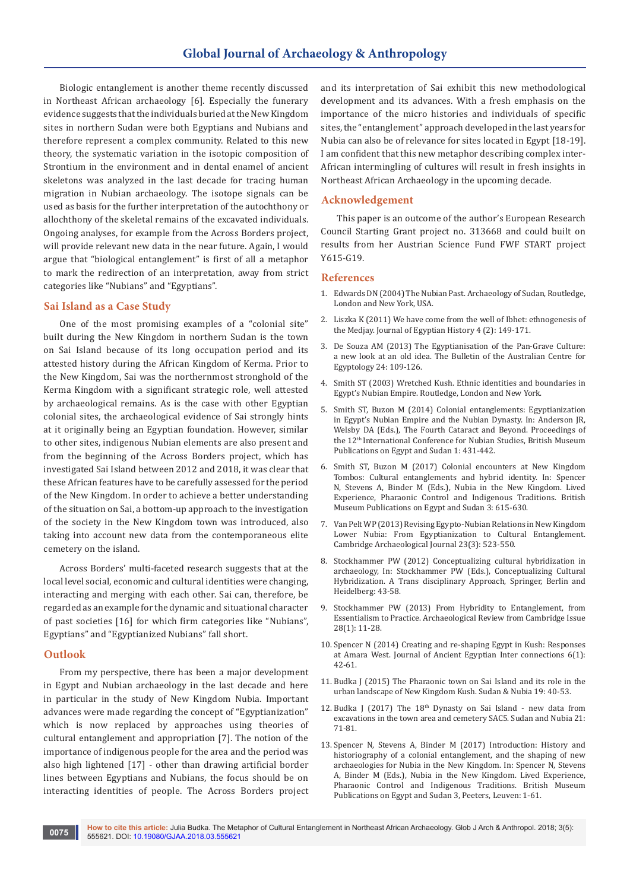Biologic entanglement is another theme recently discussed in Northeast African archaeology [6]. Especially the funerary evidence suggests that the individuals buried at the New Kingdom sites in northern Sudan were both Egyptians and Nubians and therefore represent a complex community. Related to this new theory, the systematic variation in the isotopic composition of Strontium in the environment and in dental enamel of ancient skeletons was analyzed in the last decade for tracing human migration in Nubian archaeology. The isotope signals can be used as basis for the further interpretation of the autochthony or allochthony of the skeletal remains of the excavated individuals. Ongoing analyses, for example from the Across Borders project, will provide relevant new data in the near future. Again, I would argue that "biological entanglement" is first of all a metaphor to mark the redirection of an interpretation, away from strict categories like "Nubians" and "Egyptians".

## **Sai Island as a Case Study**

One of the most promising examples of a "colonial site" built during the New Kingdom in northern Sudan is the town on Sai Island because of its long occupation period and its attested history during the African Kingdom of Kerma. Prior to the New Kingdom, Sai was the northernmost stronghold of the Kerma Kingdom with a significant strategic role, well attested by archaeological remains. As is the case with other Egyptian colonial sites, the archaeological evidence of Sai strongly hints at it originally being an Egyptian foundation. However, similar to other sites, indigenous Nubian elements are also present and from the beginning of the Across Borders project, which has investigated Sai Island between 2012 and 2018, it was clear that these African features have to be carefully assessed for the period of the New Kingdom. In order to achieve a better understanding of the situation on Sai, a bottom-up approach to the investigation of the society in the New Kingdom town was introduced, also taking into account new data from the contemporaneous elite cemetery on the island.

Across Borders' multi-faceted research suggests that at the local level social, economic and cultural identities were changing, interacting and merging with each other. Sai can, therefore, be regarded as an example for the dynamic and situational character of past societies [16] for which firm categories like "Nubians", Egyptians" and "Egyptianized Nubians" fall short.

#### **Outlook**

From my perspective, there has been a major development in Egypt and Nubian archaeology in the last decade and here in particular in the study of New Kingdom Nubia. Important advances were made regarding the concept of "Egyptianization" which is now replaced by approaches using theories of cultural entanglement and appropriation [7]. The notion of the importance of indigenous people for the area and the period was also high lightened [17] - other than drawing artificial border lines between Egyptians and Nubians, the focus should be on interacting identities of people. The Across Borders project

and its interpretation of Sai exhibit this new methodological development and its advances. With a fresh emphasis on the importance of the micro histories and individuals of specific sites, the "entanglement" approach developed in the last years for Nubia can also be of relevance for sites located in Egypt [18-19]. I am confident that this new metaphor describing complex inter-African intermingling of cultures will result in fresh insights in Northeast African Archaeology in the upcoming decade.

#### **Acknowledgement**

This paper is an outcome of the author's European Research Council Starting Grant project no. 313668 and could built on results from her Austrian Science Fund FWF START project Y615-G19.

#### **References**

- 1. Edwards DN (2004) The Nubian Past. Archaeology of Sudan, Routledge, London and New York, USA.
- 2. [Liszka K \(2011\) We have come from the well of Ibhet: ethnogenesis of](http://booksandjournals.brillonline.com/content/journals/10.1163/187416611x612132)  [the Medjay. Journal of Egyptian History 4 \(2\): 149-171](http://booksandjournals.brillonline.com/content/journals/10.1163/187416611x612132).
- 3. De Souza AM (2013) The Egyptianisation of the Pan-Grave Culture: a new look at an old idea. The Bulletin of the Australian Centre for Egyptology 24: 109-126.
- 4. Smith ST (2003) Wretched Kush. Ethnic identities and boundaries in Egypt's Nubian Empire. Routledge, London and New York.
- 5. Smith ST, Buzon M (2014) Colonial entanglements: Egyptianization in Egypt's Nubian Empire and the Nubian Dynasty. In: Anderson JR, Welsby DA (Eds.), The Fourth Cataract and Beyond. Proceedings of the 12th International Conference for Nubian Studies, British Museum Publications on Egypt and Sudan 1: 431-442.
- 6. Smith ST, Buzon M (2017) Colonial encounters at New Kingdom Tombos: Cultural entanglements and hybrid identity. In: Spencer N, Stevens A, Binder M (Eds.), Nubia in the New Kingdom. Lived Experience, Pharaonic Control and Indigenous Traditions. British Museum Publications on Egypt and Sudan 3: 615-630.
- 7. Van Pelt WP (2013) Revising Egypto-Nubian Relations in New Kingdom Lower Nubia: From Egyptianization to Cultural Entanglement. Cambridge Archaeological Journal 23(3): 523-550.
- 8. Stockhammer PW (2012) Conceptualizing cultural hybridization in archaeology, In: Stockhammer PW (Eds.), Conceptualizing Cultural Hybridization. A Trans disciplinary Approach, Springer, Berlin and Heidelberg: 43-58.
- 9. Stockhammer PW (2013) From Hybridity to Entanglement, from Essentialism to Practice. Archaeological Review from Cambridge Issue 28(1): 11-28.
- 10. Spencer N (2014) Creating and re-shaping Egypt in Kush: Responses at Amara West. Journal of Ancient Egyptian Inter connections 6(1): 42-61.
- 11. Budka J (2015) The Pharaonic town on Sai Island and its role in the urban landscape of New Kingdom Kush. Sudan & Nubia 19: 40-53.
- 12. Budka J (2017) The  $18<sup>th</sup>$  Dynasty on Sai Island new data from excavations in the town area and cemetery SAC5. Sudan and Nubia 21: 71-81.
- 13. Spencer N, Stevens A, Binder M (2017) Introduction: History and historiography of a colonial entanglement, and the shaping of new archaeologies for Nubia in the New Kingdom. In: Spencer N, Stevens A, Binder M (Eds.), Nubia in the New Kingdom. Lived Experience, Pharaonic Control and Indigenous Traditions. British Museum Publications on Egypt and Sudan 3, Peeters, Leuven: 1-61.